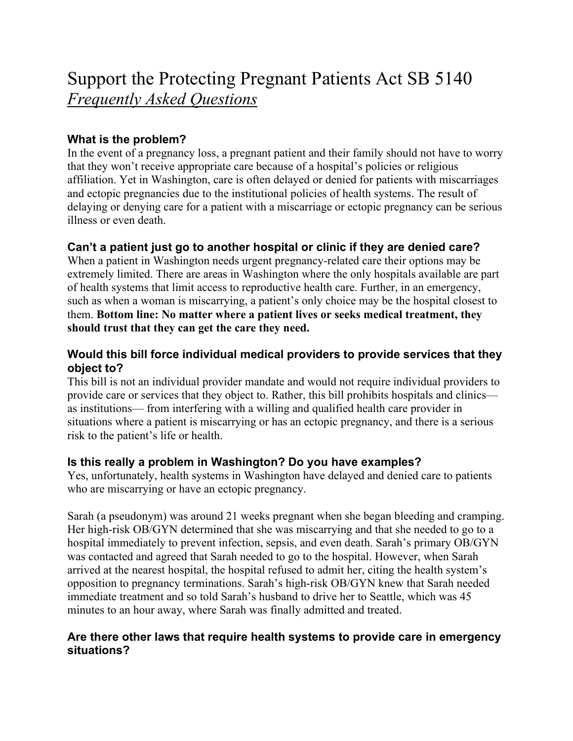# Support the Protecting Pregnant Patients Act SB 5140 *Frequently Asked Questions*

### **What is the problem?**

In the event of a pregnancy loss, a pregnant patient and their family should not have to worry that they won't receive appropriate care because of a hospital's policies or religious affiliation. Yet in Washington, care is often delayed or denied for patients with miscarriages and ectopic pregnancies due to the institutional policies of health systems. The result of delaying or denying care for a patient with a miscarriage or ectopic pregnancy can be serious illness or even death.

#### **Can't a patient just go to another hospital or clinic if they are denied care?**

When a patient in Washington needs urgent pregnancy-related care their options may be extremely limited. There are areas in Washington where the only hospitals available are part of health systems that limit access to reproductive health care. Further, in an emergency, such as when a woman is miscarrying, a patient's only choice may be the hospital closest to them. **Bottom line: No matter where a patient lives or seeks medical treatment, they should trust that they can get the care they need.**

### **Would this bill force individual medical providers to provide services that they object to?**

This bill is not an individual provider mandate and would not require individual providers to provide care or services that they object to. Rather, this bill prohibits hospitals and clinics as institutions— from interfering with a willing and qualified health care provider in situations where a patient is miscarrying or has an ectopic pregnancy, and there is a serious risk to the patient's life or health.

## **Is this really a problem in Washington? Do you have examples?**

Yes, unfortunately, health systems in Washington have delayed and denied care to patients who are miscarrying or have an ectopic pregnancy.

Sarah (a pseudonym) was around 21 weeks pregnant when she began bleeding and cramping. Her high-risk OB/GYN determined that she was miscarrying and that she needed to go to a hospital immediately to prevent infection, sepsis, and even death. Sarah's primary OB/GYN was contacted and agreed that Sarah needed to go to the hospital. However, when Sarah arrived at the nearest hospital, the hospital refused to admit her, citing the health system's opposition to pregnancy terminations. Sarah's high-risk OB/GYN knew that Sarah needed immediate treatment and so told Sarah's husband to drive her to Seattle, which was 45 minutes to an hour away, where Sarah was finally admitted and treated.

## **Are there other laws that require health systems to provide care in emergency situations?**